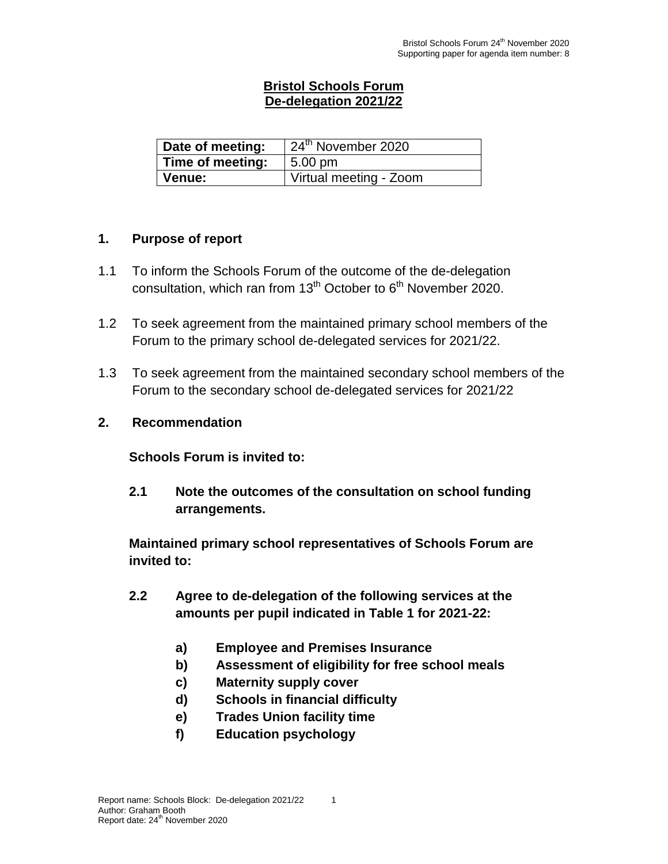### **Bristol Schools Forum De-delegation 2021/22**

| Date of meeting: | $\sqrt{24}$ <sup>th</sup> November 2020 |
|------------------|-----------------------------------------|
| Time of meeting: | $5.00 \text{ pm}$                       |
| ∣ Venue:         | Virtual meeting - Zoom                  |

#### **1. Purpose of report**

- 1.1 To inform the Schools Forum of the outcome of the de-delegation consultation, which ran from  $13<sup>th</sup>$  October to  $6<sup>th</sup>$  November 2020.
- 1.2 To seek agreement from the maintained primary school members of the Forum to the primary school de-delegated services for 2021/22.
- 1.3 To seek agreement from the maintained secondary school members of the Forum to the secondary school de-delegated services for 2021/22

#### **2. Recommendation**

**Schools Forum is invited to:**

**2.1 Note the outcomes of the consultation on school funding arrangements.**

**Maintained primary school representatives of Schools Forum are invited to:**

- **2.2 Agree to de-delegation of the following services at the amounts per pupil indicated in Table 1 for 2021-22:**
	- **a) Employee and Premises Insurance**
	- **b) Assessment of eligibility for free school meals**
	- **c) Maternity supply cover**
	- **d) Schools in financial difficulty**
	- **e) Trades Union facility time**
	- **f) Education psychology**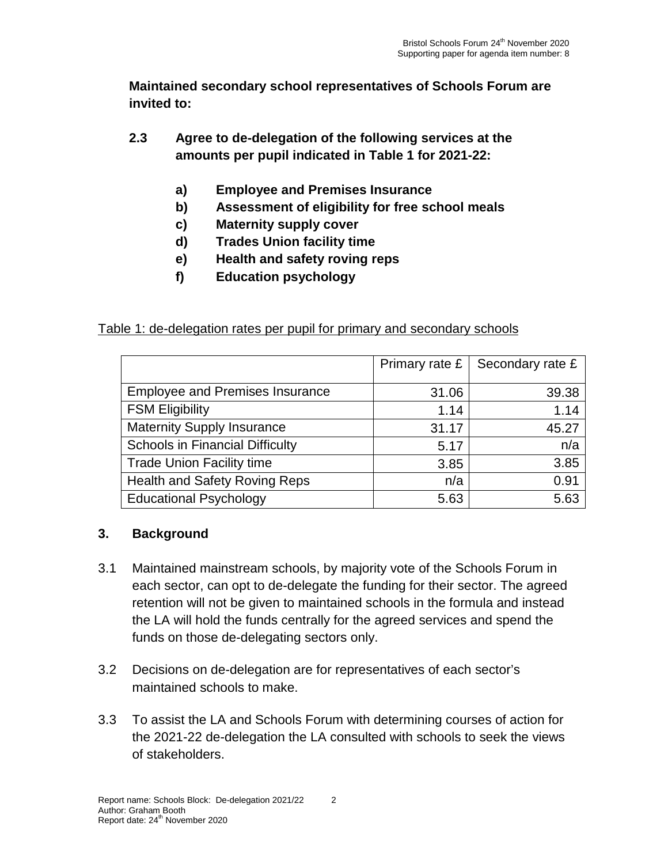**Maintained secondary school representatives of Schools Forum are invited to:**

- **2.3 Agree to de-delegation of the following services at the amounts per pupil indicated in Table 1 for 2021-22:**
	- **a) Employee and Premises Insurance**
	- **b) Assessment of eligibility for free school meals**
	- **c) Maternity supply cover**
	- **d) Trades Union facility time**
	- **e) Health and safety roving reps**
	- **f) Education psychology**

### Table 1: de-delegation rates per pupil for primary and secondary schools

|                                        | Primary rate £ | Secondary rate £ |
|----------------------------------------|----------------|------------------|
| <b>Employee and Premises Insurance</b> | 31.06          | 39.38            |
| <b>FSM Eligibility</b>                 | 1.14           | 1.14             |
| <b>Maternity Supply Insurance</b>      | 31.17          | 45.27            |
| <b>Schools in Financial Difficulty</b> | 5.17           | n/a              |
| <b>Trade Union Facility time</b>       | 3.85           | 3.85             |
| <b>Health and Safety Roving Reps</b>   | n/a            | 0.91             |
| <b>Educational Psychology</b>          | 5.63           | 5.63             |

## **3. Background**

- 3.1 Maintained mainstream schools, by majority vote of the Schools Forum in each sector, can opt to de-delegate the funding for their sector. The agreed retention will not be given to maintained schools in the formula and instead the LA will hold the funds centrally for the agreed services and spend the funds on those de-delegating sectors only.
- 3.2 Decisions on de-delegation are for representatives of each sector's maintained schools to make.
- 3.3 To assist the LA and Schools Forum with determining courses of action for the 2021-22 de-delegation the LA consulted with schools to seek the views of stakeholders.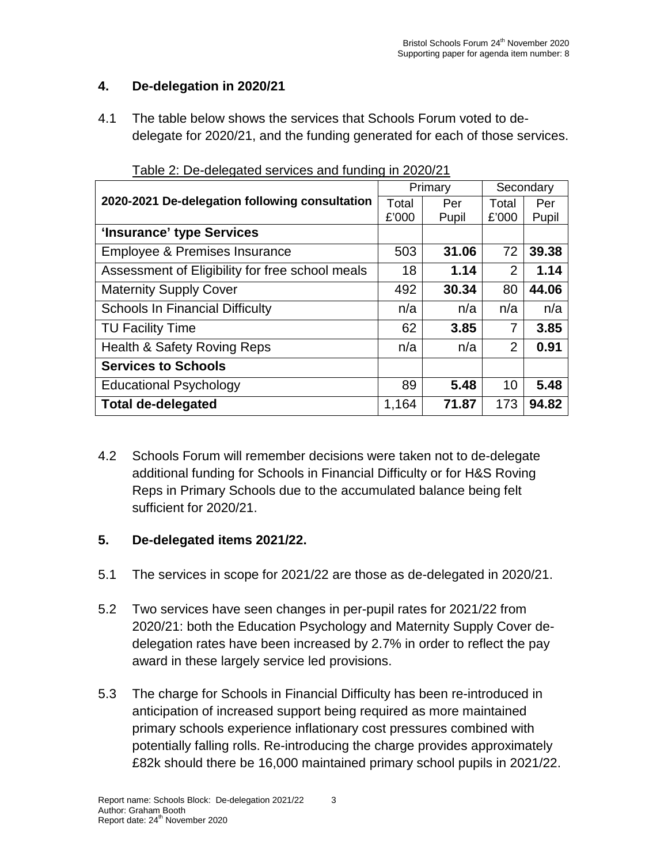## **4. De-delegation in 2020/21**

4.1 The table below shows the services that Schools Forum voted to dedelegate for 2020/21, and the funding generated for each of those services.

|                                                 |       | Primary | Secondary |       |
|-------------------------------------------------|-------|---------|-----------|-------|
| 2020-2021 De-delegation following consultation  | Total | Per     | Total     | Per   |
|                                                 | £'000 | Pupil   | £'000     | Pupil |
| 'Insurance' type Services                       |       |         |           |       |
| Employee & Premises Insurance                   | 503   | 31.06   | 72        | 39.38 |
| Assessment of Eligibility for free school meals | 18    | 1.14    | 2         | 1.14  |
| <b>Maternity Supply Cover</b>                   | 492   | 30.34   | 80        | 44.06 |
| <b>Schools In Financial Difficulty</b>          | n/a   | n/a     | n/a       | n/a   |
| <b>TU Facility Time</b>                         | 62    | 3.85    | 7         | 3.85  |
| Health & Safety Roving Reps                     | n/a   | n/a     | 2         | 0.91  |
| <b>Services to Schools</b>                      |       |         |           |       |
| <b>Educational Psychology</b>                   | 89    | 5.48    | 10        | 5.48  |
| <b>Total de-delegated</b>                       | 1,164 | 71.87   | 173       | 94.82 |

Table 2: De-delegated services and funding in 2020/21

4.2 Schools Forum will remember decisions were taken not to de-delegate additional funding for Schools in Financial Difficulty or for H&S Roving Reps in Primary Schools due to the accumulated balance being felt sufficient for 2020/21.

## **5. De-delegated items 2021/22.**

- 5.1 The services in scope for 2021/22 are those as de-delegated in 2020/21.
- 5.2 Two services have seen changes in per-pupil rates for 2021/22 from 2020/21: both the Education Psychology and Maternity Supply Cover dedelegation rates have been increased by 2.7% in order to reflect the pay award in these largely service led provisions.
- 5.3 The charge for Schools in Financial Difficulty has been re-introduced in anticipation of increased support being required as more maintained primary schools experience inflationary cost pressures combined with potentially falling rolls. Re-introducing the charge provides approximately £82k should there be 16,000 maintained primary school pupils in 2021/22.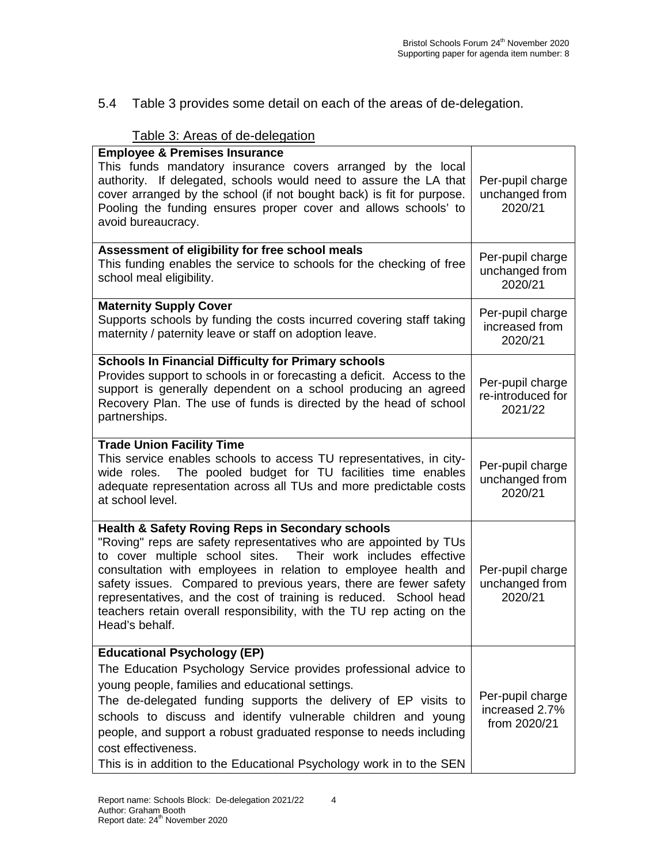5.4 Table 3 provides some detail on each of the areas of de-delegation.

### Table 3: Areas of de-delegation

| <b>Employee &amp; Premises Insurance</b><br>This funds mandatory insurance covers arranged by the local<br>authority. If delegated, schools would need to assure the LA that<br>cover arranged by the school (if not bought back) is fit for purpose.<br>Pooling the funding ensures proper cover and allows schools' to<br>avoid bureaucracy.                                                                                                                                                           | Per-pupil charge<br>unchanged from<br>2020/21      |
|----------------------------------------------------------------------------------------------------------------------------------------------------------------------------------------------------------------------------------------------------------------------------------------------------------------------------------------------------------------------------------------------------------------------------------------------------------------------------------------------------------|----------------------------------------------------|
| Assessment of eligibility for free school meals<br>This funding enables the service to schools for the checking of free<br>school meal eligibility.                                                                                                                                                                                                                                                                                                                                                      | Per-pupil charge<br>unchanged from<br>2020/21      |
| <b>Maternity Supply Cover</b><br>Supports schools by funding the costs incurred covering staff taking<br>maternity / paternity leave or staff on adoption leave.                                                                                                                                                                                                                                                                                                                                         | Per-pupil charge<br>increased from<br>2020/21      |
| <b>Schools In Financial Difficulty for Primary schools</b><br>Provides support to schools in or forecasting a deficit. Access to the<br>support is generally dependent on a school producing an agreed<br>Recovery Plan. The use of funds is directed by the head of school<br>partnerships.                                                                                                                                                                                                             | Per-pupil charge<br>re-introduced for<br>2021/22   |
| <b>Trade Union Facility Time</b><br>This service enables schools to access TU representatives, in city-<br>The pooled budget for TU facilities time enables<br>wide roles.<br>adequate representation across all TUs and more predictable costs<br>at school level.                                                                                                                                                                                                                                      | Per-pupil charge<br>unchanged from<br>2020/21      |
| <b>Health &amp; Safety Roving Reps in Secondary schools</b><br>"Roving" reps are safety representatives who are appointed by TUs<br>to cover multiple school sites. Their work includes effective<br>consultation with employees in relation to employee health and<br>safety issues. Compared to previous years, there are fewer safety<br>representatives, and the cost of training is reduced. School head<br>teachers retain overall responsibility, with the TU rep acting on the<br>Head's behalf. | Per-pupil charge<br>unchanged from<br>2020/21      |
| <b>Educational Psychology (EP)</b><br>The Education Psychology Service provides professional advice to<br>young people, families and educational settings.<br>The de-delegated funding supports the delivery of EP visits to<br>schools to discuss and identify vulnerable children and young<br>people, and support a robust graduated response to needs including<br>cost effectiveness.<br>This is in addition to the Educational Psychology work in to the SEN                                       | Per-pupil charge<br>increased 2.7%<br>from 2020/21 |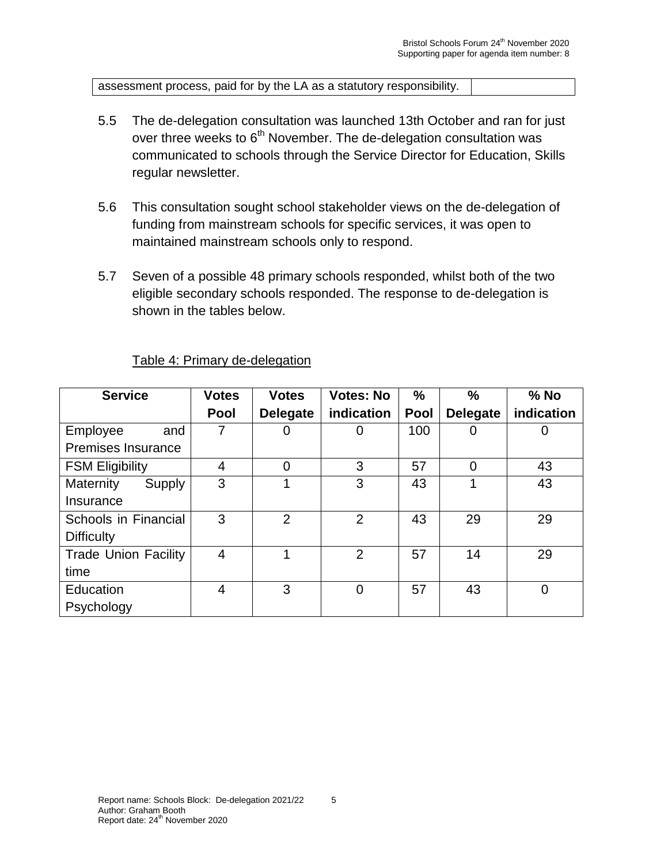assessment process, paid for by the LA as a statutory responsibility.

- 5.5 The de-delegation consultation was launched 13th October and ran for just over three weeks to 6<sup>th</sup> November. The de-delegation consultation was communicated to schools through the Service Director for Education, Skills regular newsletter.
- 5.6 This consultation sought school stakeholder views on the de-delegation of funding from mainstream schools for specific services, it was open to maintained mainstream schools only to respond.
- 5.7 Seven of a possible 48 primary schools responded, whilst both of the two eligible secondary schools responded. The response to de-delegation is shown in the tables below.

| <b>Service</b>              | <b>Votes</b> | <b>Votes</b>    | <b>Votes: No</b> | %           | %               | $%$ No     |
|-----------------------------|--------------|-----------------|------------------|-------------|-----------------|------------|
|                             | <b>Pool</b>  | <b>Delegate</b> | indication       | <b>Pool</b> | <b>Delegate</b> | indication |
| Employee<br>and             |              | 0               | O                | 100         |                 | Ü          |
| Premises Insurance          |              |                 |                  |             |                 |            |
| <b>FSM Eligibility</b>      | 4            | $\mathbf 0$     | 3                | 57          | 0               | 43         |
| <b>Maternity</b><br>Supply  | 3            |                 | 3                | 43          |                 | 43         |
| Insurance                   |              |                 |                  |             |                 |            |
| Schools in Financial        | 3            | $\overline{2}$  | $\overline{2}$   | 43          | 29              | 29         |
| <b>Difficulty</b>           |              |                 |                  |             |                 |            |
| <b>Trade Union Facility</b> | 4            |                 | $\overline{2}$   | 57          | 14              | 29         |
| time                        |              |                 |                  |             |                 |            |
| Education                   | 4            | 3               | $\overline{0}$   | 57          | 43              | 0          |
| Psychology                  |              |                 |                  |             |                 |            |

Table 4: Primary de-delegation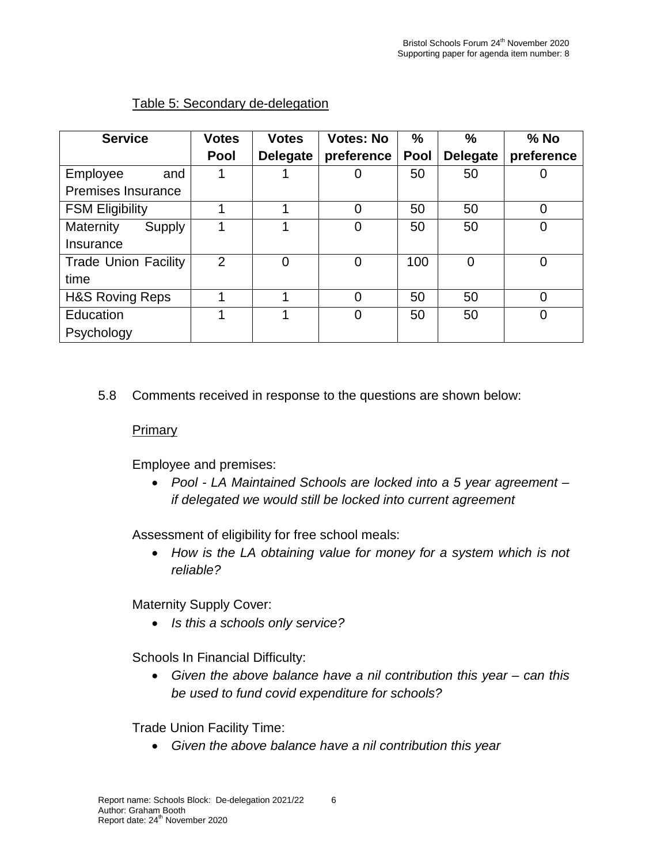| <b>Service</b>              | <b>Votes</b>   | <b>Votes</b>    | <b>Votes: No</b> | $\frac{0}{0}$ | $\frac{0}{0}$   | $%$ No     |
|-----------------------------|----------------|-----------------|------------------|---------------|-----------------|------------|
|                             | <b>Pool</b>    | <b>Delegate</b> | preference       | Pool          | <b>Delegate</b> | preference |
| Employee<br>and             |                |                 | 0                | 50            | 50              |            |
| Premises Insurance          |                |                 |                  |               |                 |            |
| <b>FSM Eligibility</b>      |                |                 | $\overline{0}$   | 50            | 50              | O          |
| <b>Maternity</b><br>Supply  |                |                 | 0                | 50            | 50              | 0          |
| Insurance                   |                |                 |                  |               |                 |            |
| <b>Trade Union Facility</b> | $\overline{2}$ | $\overline{0}$  | $\overline{0}$   | 100           | 0               | 0          |
| time                        |                |                 |                  |               |                 |            |
| <b>H&amp;S Roving Reps</b>  |                |                 | $\overline{0}$   | 50            | 50              | 0          |
| Education                   |                | 4               | $\mathbf 0$      | 50            | 50              | 0          |
| Psychology                  |                |                 |                  |               |                 |            |

### Table 5: Secondary de-delegation

### 5.8 Comments received in response to the questions are shown below:

#### Primary

Employee and premises:

• *Pool - LA Maintained Schools are locked into a 5 year agreement – if delegated we would still be locked into current agreement*

Assessment of eligibility for free school meals:

• *How is the LA obtaining value for money for a system which is not reliable?*

Maternity Supply Cover:

• *Is this a schools only service?*

Schools In Financial Difficulty:

• *Given the above balance have a nil contribution this year – can this be used to fund covid expenditure for schools?*

Trade Union Facility Time:

• *Given the above balance have a nil contribution this year*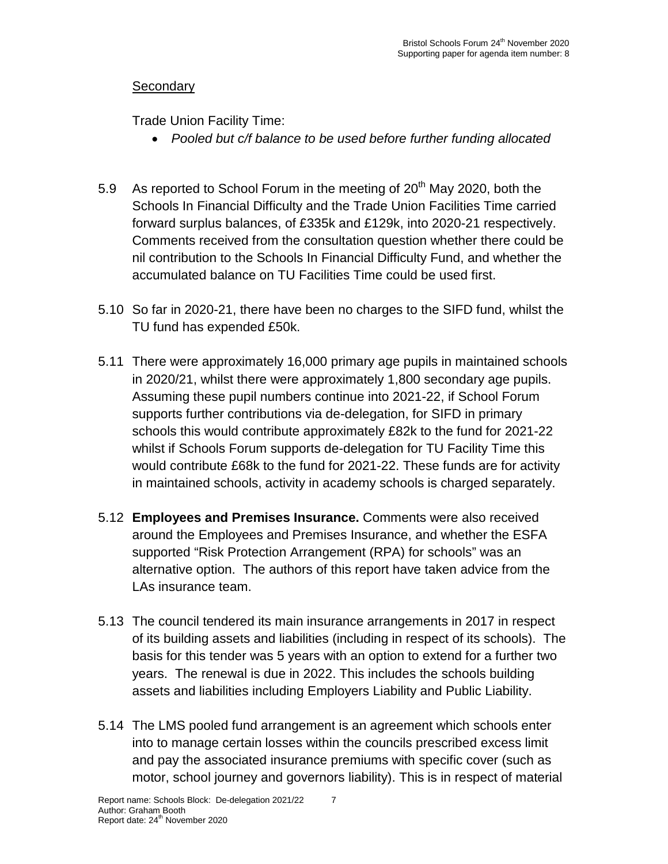# **Secondary**

Trade Union Facility Time:

- *Pooled but c/f balance to be used before further funding allocated*
- 5.9 As reported to School Forum in the meeting of  $20<sup>th</sup>$  May 2020, both the Schools In Financial Difficulty and the Trade Union Facilities Time carried forward surplus balances, of £335k and £129k, into 2020-21 respectively. Comments received from the consultation question whether there could be nil contribution to the Schools In Financial Difficulty Fund, and whether the accumulated balance on TU Facilities Time could be used first.
- 5.10 So far in 2020-21, there have been no charges to the SIFD fund, whilst the TU fund has expended £50k.
- 5.11 There were approximately 16,000 primary age pupils in maintained schools in 2020/21, whilst there were approximately 1,800 secondary age pupils. Assuming these pupil numbers continue into 2021-22, if School Forum supports further contributions via de-delegation, for SIFD in primary schools this would contribute approximately £82k to the fund for 2021-22 whilst if Schools Forum supports de-delegation for TU Facility Time this would contribute £68k to the fund for 2021-22. These funds are for activity in maintained schools, activity in academy schools is charged separately.
- 5.12 **Employees and Premises Insurance.** Comments were also received around the Employees and Premises Insurance, and whether the ESFA supported "Risk Protection Arrangement (RPA) for schools" was an alternative option. The authors of this report have taken advice from the LAs insurance team.
- 5.13 The council tendered its main insurance arrangements in 2017 in respect of its building assets and liabilities (including in respect of its schools). The basis for this tender was 5 years with an option to extend for a further two years. The renewal is due in 2022. This includes the schools building assets and liabilities including Employers Liability and Public Liability.
- 5.14 The LMS pooled fund arrangement is an agreement which schools enter into to manage certain losses within the councils prescribed excess limit and pay the associated insurance premiums with specific cover (such as motor, school journey and governors liability). This is in respect of material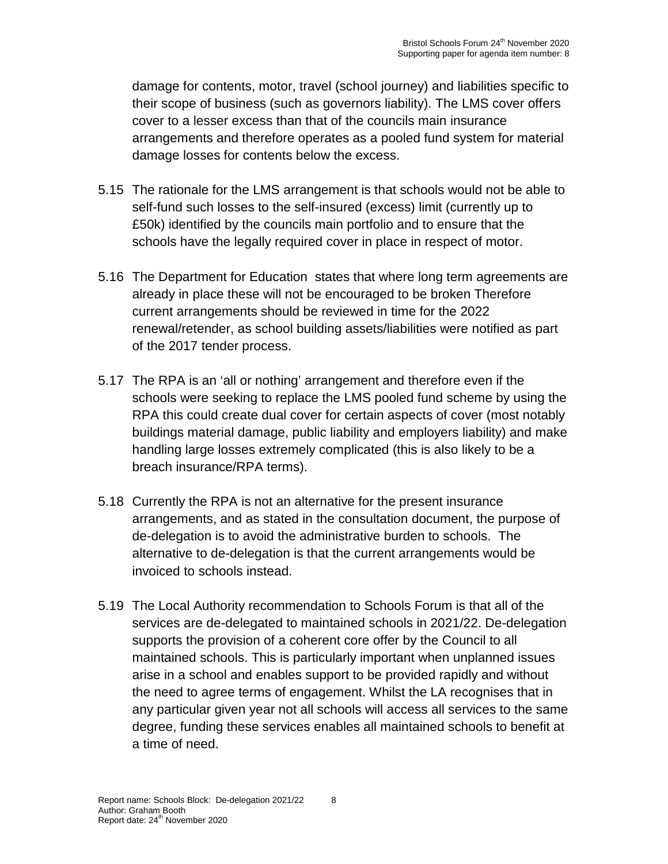damage for contents, motor, travel (school journey) and liabilities specific to their scope of business (such as governors liability). The LMS cover offers cover to a lesser excess than that of the councils main insurance arrangements and therefore operates as a pooled fund system for material damage losses for contents below the excess.

- 5.15 The rationale for the LMS arrangement is that schools would not be able to self-fund such losses to the self-insured (excess) limit (currently up to £50k) identified by the councils main portfolio and to ensure that the schools have the legally required cover in place in respect of motor.
- 5.16 The Department for Education states that where long term agreements are already in place these will not be encouraged to be broken Therefore current arrangements should be reviewed in time for the 2022 renewal/retender, as school building assets/liabilities were notified as part of the 2017 tender process.
- 5.17 The RPA is an 'all or nothing' arrangement and therefore even if the schools were seeking to replace the LMS pooled fund scheme by using the RPA this could create dual cover for certain aspects of cover (most notably buildings material damage, public liability and employers liability) and make handling large losses extremely complicated (this is also likely to be a breach insurance/RPA terms).
- 5.18 Currently the RPA is not an alternative for the present insurance arrangements, and as stated in the consultation document, the purpose of de-delegation is to avoid the administrative burden to schools. The alternative to de-delegation is that the current arrangements would be invoiced to schools instead.
- 5.19 The Local Authority recommendation to Schools Forum is that all of the services are de-delegated to maintained schools in 2021/22. De-delegation supports the provision of a coherent core offer by the Council to all maintained schools. This is particularly important when unplanned issues arise in a school and enables support to be provided rapidly and without the need to agree terms of engagement. Whilst the LA recognises that in any particular given year not all schools will access all services to the same degree, funding these services enables all maintained schools to benefit at a time of need.